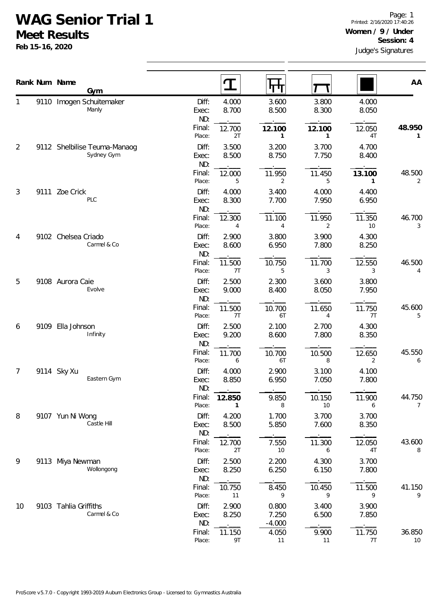## **WAG Senior Trial 1**

**Meet Results**

**Feb 15-16, 2020**

|    |      | Rank Num Name<br>Gym                       |                       | $\mathbf T$              | П                          |                |                | AA           |
|----|------|--------------------------------------------|-----------------------|--------------------------|----------------------------|----------------|----------------|--------------|
| 1  |      | 9110 Imogen Schuitemaker<br>Manly          | Diff:<br>Exec:<br>ND: | 4.000<br>8.700           | 3.600<br>8.500             | 3.800<br>8.300 | 4.000<br>8.050 |              |
|    |      |                                            | Final:<br>Place:      | 12.700<br>2T             | 12.100<br>$\mathbf{1}$     | 12.100<br>1    | 12.050<br>4T   | 48.950<br>1  |
| 2  |      | 9112 Shelbilise Teuma-Manaog<br>Sydney Gym | Diff:<br>Exec:<br>ND: | 3.500<br>8.500           | 3.200<br>8.750             | 3.700<br>7.750 | 4.700<br>8.400 |              |
|    |      |                                            | Final:<br>Place:      | 12.000<br>5              | 11.950<br>2                | 11.450<br>5    | 13.100<br>1    | 48.500<br>2  |
| 3  | 9111 | Zoe Crick<br>PLC                           | Diff:<br>Exec:<br>ND: | 4.000<br>8.300           | 3.400<br>7.700             | 4.000<br>7.950 | 4.400<br>6.950 |              |
|    |      |                                            | Final:<br>Place:      | 12.300<br>$\overline{4}$ | 11.100<br>$\overline{4}$   | 11.950<br>2    | 11.350<br>10   | 46.700<br>3  |
| 4  |      | 9102 Chelsea Criado<br>Carmel & Co         | Diff:<br>Exec:<br>ND: | 2.900<br>8.600           | 3.800<br>6.950             | 3.900<br>7.800 | 4.300<br>8.250 |              |
|    |      |                                            | Final:<br>Place:      | 11.500<br>7T             | 10.750<br>5                | 11.700<br>3    | 12.550<br>3    | 46.500<br>4  |
| 5  |      | 9108 Aurora Caie<br>Evolve                 | Diff:<br>Exec:<br>ND: | 2.500<br>9.000           | 2.300<br>8.400             | 3.600<br>8.050 | 3.800<br>7.950 |              |
|    |      |                                            | Final:<br>Place:      | 11.500<br>7T             | 10.700<br>6T               | 11.650<br>4    | 11.750<br>7T   | 45.600<br>5  |
| 6  | 9109 | Ella Johnson<br>Infinity                   | Diff:<br>Exec:<br>ND: | 2.500<br>9.200           | 2.100<br>8.600             | 2.700<br>7.800 | 4.300<br>8.350 |              |
|    |      |                                            | Final:<br>Place:      | 11.700<br>6              | 10.700<br>6T               | 10.500<br>8    | 12.650<br>2    | 45.550<br>6  |
| 7  |      | 9114 Sky Xu<br>Eastern Gym                 | Diff:<br>Exec:<br>ND: | 4.000<br>8.850           | 2.900<br>6.950             | 3.100<br>7.050 | 4.100<br>7.800 |              |
|    |      |                                            | Final:<br>Place:      | 12.850                   | 9.850<br>8                 | 10.150<br>10   | 11.900<br>6    | 44.750<br>7  |
| 8  |      | 9107 Yun Ni Wong<br>Castle Hill            | Diff:<br>Exec:<br>ND: | 4.200<br>8.500           | 1.700<br>5.850             | 3.700<br>7.600 | 3.700<br>8.350 |              |
|    |      |                                            | Final:<br>Place:      | 12.700<br>2T             | 7.550<br>10                | 11.300<br>6    | 12.050<br>4T   | 43.600<br>8  |
| 9  |      | 9113 Miya Newman<br>Wollongong             | Diff:<br>Exec:<br>ND: | 2.500<br>8.250           | 2.200<br>6.250             | 4.300<br>6.150 | 3.700<br>7.800 |              |
|    |      |                                            | Final:<br>Place:      | 10.750<br>11             | 8.450<br>9                 | 10.450<br>9    | 11.500<br>9    | 41.150<br>9  |
| 10 |      | 9103 Tahlia Griffiths<br>Carmel & Co       | Diff:<br>Exec:<br>ND: | 2.900<br>8.250           | 0.800<br>7.250<br>$-4.000$ | 3.400<br>6.500 | 3.900<br>7.850 |              |
|    |      |                                            | Final:<br>Place:      | 11.150<br>9T             | 4.050<br>11                | 9.900<br>11    | 11.750<br>7T   | 36.850<br>10 |